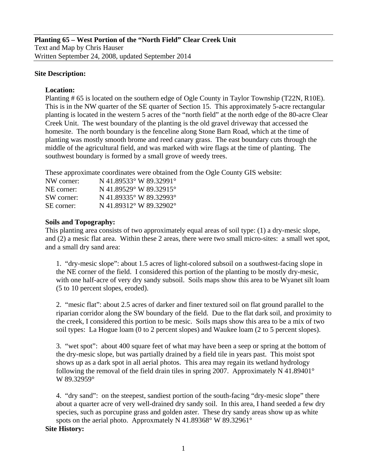# **Site Description:**

# **Location:**

Planting # 65 is located on the southern edge of Ogle County in Taylor Township (T22N, R10E). This is in the NW quarter of the SE quarter of Section 15. This approximately 5-acre rectangular planting is located in the western 5 acres of the "north field" at the north edge of the 80-acre Clear Creek Unit. The west boundary of the planting is the old gravel driveway that accessed the homesite. The north boundary is the fenceline along Stone Barn Road, which at the time of planting was mostly smooth brome and reed canary grass. The east boundary cuts through the middle of the agricultural field, and was marked with wire flags at the time of planting. The southwest boundary is formed by a small grove of weedy trees.

These approximate coordinates were obtained from the Ogle County GIS website:

| NW corner: | N 41.89533° W 89.32991° |
|------------|-------------------------|
| NE corner: | N 41.89529° W 89.32915° |
| SW corner: | N 41.89335° W 89.32993° |
| SE corner: | N 41.89312° W 89.32902° |

# **Soils and Topography:**

This planting area consists of two approximately equal areas of soil type: (1) a dry-mesic slope, and (2) a mesic flat area. Within these 2 areas, there were two small micro-sites: a small wet spot, and a small dry sand area:

1. "dry-mesic slope": about 1.5 acres of light-colored subsoil on a southwest-facing slope in the NE corner of the field. I considered this portion of the planting to be mostly dry-mesic, with one half-acre of very dry sandy subsoil. Soils maps show this area to be Wyanet silt loam (5 to 10 percent slopes, eroded).

2. "mesic flat": about 2.5 acres of darker and finer textured soil on flat ground parallel to the riparian corridor along the SW boundary of the field. Due to the flat dark soil, and proximity to the creek, I considered this portion to be mesic. Soils maps show this area to be a mix of two soil types: La Hogue loam (0 to 2 percent slopes) and Waukee loam (2 to 5 percent slopes).

3. "wet spot": about 400 square feet of what may have been a seep or spring at the bottom of the dry-mesic slope, but was partially drained by a field tile in years past. This moist spot shows up as a dark spot in all aerial photos. This area may regain its wetland hydrology following the removal of the field drain tiles in spring 2007. Approximately N 41.89401 $^{\circ}$ W 89.32959°

4. "dry sand": on the steepest, sandiest portion of the south-facing "dry-mesic slope" there about a quarter acre of very well-drained dry sandy soil. In this area, I hand seeded a few dry species, such as porcupine grass and golden aster. These dry sandy areas show up as white spots on the aerial photo. Approxmately N 41.89368° W 89.32961°

## **Site History:**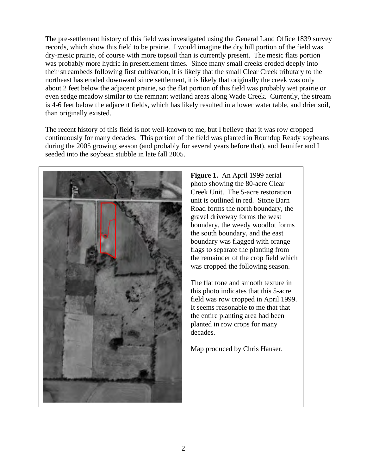The pre-settlement history of this field was investigated using the General Land Office 1839 survey records, which show this field to be prairie. I would imagine the dry hill portion of the field was dry-mesic prairie, of course with more topsoil than is currently present. The mesic flats portion was probably more hydric in presettlement times. Since many small creeks eroded deeply into their streambeds following first cultivation, it is likely that the small Clear Creek tributary to the northeast has eroded downward since settlement, it is likely that originally the creek was only about 2 feet below the adjacent prairie, so the flat portion of this field was probably wet prairie or even sedge meadow similar to the remnant wetland areas along Wade Creek. Currently, the stream is 4-6 feet below the adjacent fields, which has likely resulted in a lower water table, and drier soil, than originally existed.

The recent history of this field is not well-known to me, but I believe that it was row cropped continuously for many decades. This portion of the field was planted in Roundup Ready soybeans during the 2005 growing season (and probably for several years before that), and Jennifer and I seeded into the soybean stubble in late fall 2005.



**Figure 1.** An April 1999 aerial photo showing the 80-acre Clear Creek Unit. The 5-acre restoration unit is outlined in red. Stone Barn Road forms the north boundary, the gravel driveway forms the west boundary, the weedy woodlot forms the south boundary, and the east boundary was flagged with orange flags to separate the planting from the remainder of the crop field which was cropped the following season.

The flat tone and smooth texture in this photo indicates that this 5-acre field was row cropped in April 1999. It seems reasonable to me that that the entire planting area had been planted in row crops for many decades.

Map produced by Chris Hauser.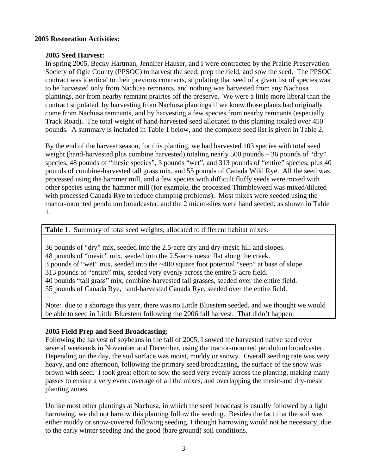# **2005 Restoration Activities:**

# **2005 Seed Harvest:**

In spring 2005, Becky Hartman, Jennifer Hauser, and I were contracted by the Prairie Preservation Society of Ogle County (PPSOC) to harvest the seed, prep the field, and sow the seed. The PPSOC contract was identical to their previous contracts, stipulating that seed of a given list of species was to be harvested only from Nachusa remnants, and nothing was harvested from any Nachusa plantings, nor from nearby remnant prairies off the preserve. We were a little more liberal than the contract stipulated, by harvesting from Nachusa plantings if we knew those plants had originally come from Nachusa remnants, and by harvesting a few species from nearby remnants (especially Track Road). The total weight of hand-harvested seed allocated to this planting totaled over 450 pounds. A summary is included in Table 1 below, and the complete seed list is given in Table 2.

By the end of the harvest season, for this planting, we had harvested 103 species with total seed weight (hand-harvested plus combine harvested) totaling nearly 500 pounds – 36 pounds of "dry" species, 48 pounds of "mesic species", 3 pounds "wet", and 313 pounds of "entire" species, plus 40 pounds of combine-harvested tall grass mix, and 55 pounds of Canada Wild Rye. All the seed was processed using the hammer mill, and a few species with difficult fluffy seeds were mixed with other species using the hammer mill (for example, the processed Thimbleweed was mixed/diluted with processed Canada Rye to reduce clumping problems). Most mixes were seeded using the tractor-mounted pendulum broadcaster, and the 2 micro-sites were hand seeded, as shown in Table 1.

**Table 1**. Summary of total seed weights, allocated to different habitat mixes.

36 pounds of "dry" mix, seeded into the 2.5-acre dry and dry-mesic hill and slopes. 48 pounds of "mesic" mix, seeded into the 2.5-acre mesic flat along the creek. 3 pounds of "wet" mix, seeded into the ~400 square foot potential "seep" at base of slope. 313 pounds of "entire" mix, seeded very evenly across the entire 5-acre field. 40 pounds "tall grass" mix, combine-harvested tall grasses, seeded over the entire field. 55 pounds of Canada Rye, hand-harvested Canada Rye, seeded over the entire field.

Note: due to a shortage this year, there was no Little Bluestem seeded, and we thought we would be able to seed in Little Bluestem following the 2006 fall harvest. That didn't happen.

## **2005 Field Prep and Seed Broadcasting:**

Following the harvest of soybeans in the fall of 2005, I sowed the harvested native seed over several weekends in November and December, using the tractor-mounted pendulum broadcaster. Depending on the day, the soil surface was moist, muddy or snowy. Overall seeding rate was very heavy, and one afternoon, following the primary seed broadcasting, the surface of the snow was brown with seed. I took great effort to sow the seed very evenly across the planting, making many passes to ensure a very even coverage of all the mixes, and overlapping the mesic-and dry-mesic planting zones.

Unlike most other plantings at Nachusa, in which the seed broadcast is usually followed by a light harrowing, we did not harrow this planting follow the seeding. Besides the fact that the soil was either muddy or snow-covered following seeding, I thought harrowing would not be necessary, due to the early winter seeding and the good (bare ground) soil conditions.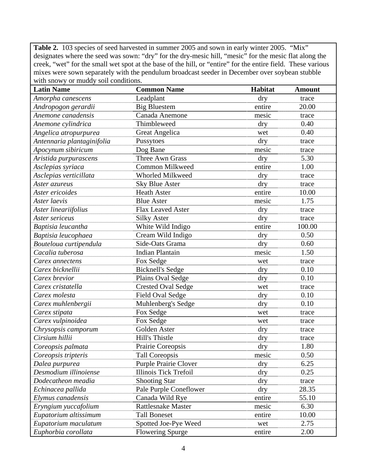Table 2. 103 species of seed harvested in summer 2005 and sown in early winter 2005. "Mix" designates where the seed was sown: "dry" for the dry-mesic hill, "mesic" for the mesic flat along the creek, "wet" for the small wet spot at the base of the hill, or "entire" for the entire field. These various mixes were sown separately with the pendulum broadcast seeder in December over soybean stubble with snowy or muddy soil conditions.

| <b>Latin Name</b>          | <b>Common Name</b>           | Habitat | <b>Amount</b> |
|----------------------------|------------------------------|---------|---------------|
| Amorpha canescens          | Leadplant                    | dry     | trace         |
| Andropogon gerardii        | <b>Big Bluestem</b>          | entire  | 20.00         |
| Anemone canadensis         | Canada Anemone               | mesic   | trace         |
| Anemone cylindrica         | Thimbleweed                  | dry     | 0.40          |
| Angelica atropurpurea      | <b>Great Angelica</b>        | wet     | 0.40          |
| Antennaria plantaginifolia | Pussytoes                    | dry     | trace         |
| Apocynum sibiricum         | Dog Bane                     | mesic   | trace         |
| Aristida purpurascens      | <b>Three Awn Grass</b>       | dry     | 5.30          |
| Asclepias syriaca          | <b>Common Milkweed</b>       | entire  | 1.00          |
| Asclepias verticillata     | Whorled Milkweed             | dry     | trace         |
| Aster azureus              | <b>Sky Blue Aster</b>        | dry     | trace         |
| Aster ericoides            | <b>Heath Aster</b>           | entire  | 10.00         |
| Aster laevis               | <b>Blue Aster</b>            | mesic   | 1.75          |
| Aster lineariifolius       | Flax Leaved Aster            | dry     | trace         |
| Aster sericeus             | <b>Silky Aster</b>           | dry     | trace         |
| Baptisia leucantha         | White Wild Indigo            | entire  | 100.00        |
| Baptisia leucophaea        | Cream Wild Indigo            | dry     | 0.50          |
| Bouteloua curtipendula     | Side-Oats Grama              | dry     | 0.60          |
| Cacalia tuberosa           | <b>Indian Plantain</b>       | mesic   | 1.50          |
| Carex annectens            | Fox Sedge                    | wet     | trace         |
| Carex bicknellii           | <b>Bicknell's Sedge</b>      | dry     | 0.10          |
| Carex brevior              | Plains Oval Sedge            | dry     | 0.10          |
| Carex cristatella          | <b>Crested Oval Sedge</b>    | wet     | trace         |
| Carex molesta              | <b>Field Oval Sedge</b>      | dry     | 0.10          |
| Carex muhlenbergii         | Muhlenberg's Sedge           | dry     | 0.10          |
| Carex stipata              | Fox Sedge                    | wet     | trace         |
| Carex vulpinoidea          | Fox Sedge                    | wet     | trace         |
| Chrysopsis camporum        | Golden Aster                 | dry     | trace         |
| Cirsium hillii             | Hill's Thistle               | dry     | trace         |
| Coreopsis palmata          | Prairie Coreopsis            | dry     | 1.80          |
| Coreopsis tripteris        | <b>Tall Coreopsis</b>        | mesic   | 0.50          |
| Dalea purpurea             | <b>Purple Prairie Clover</b> | dry     | 6.25          |
| Desmodium illinoiense      | <b>Illinois Tick Trefoil</b> | dry     | 0.25          |
| Dodecatheon meadia         | <b>Shooting Star</b>         | dry     | trace         |
| Echinacea pallida          | Pale Purple Coneflower       | dry     | 28.35         |
| Elymus canadensis          | Canada Wild Rye              | entire  | 55.10         |
| Eryngium yuccafolium       | <b>Rattlesnake Master</b>    | mesic   | 6.30          |
| Eupatorium altissimum      | <b>Tall Boneset</b>          | entire  | 10.00         |
| Eupatorium maculatum       | Spotted Joe-Pye Weed         | wet     | 2.75          |
| Euphorbia corollata        | <b>Flowering Spurge</b>      | entire  | 2.00          |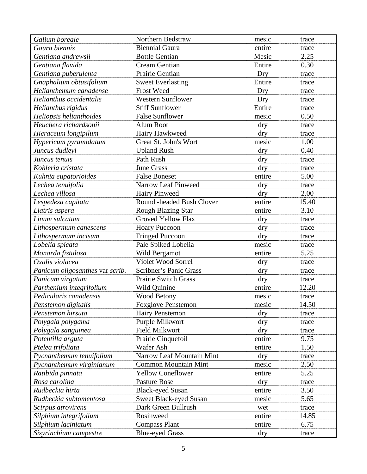| Galium boreale                  | Northern Bedstraw           | mesic      | trace |
|---------------------------------|-----------------------------|------------|-------|
| Gaura biennis                   | <b>Biennial Gaura</b>       | entire     | trace |
| Gentiana andrewsii              | <b>Bottle Gentian</b>       | Mesic      | 2.25  |
| Gentiana flavida                | <b>Cream Gentian</b>        | Entire     | 0.30  |
| Gentiana puberulenta            | Prairie Gentian             | Dry        | trace |
| Gnaphalium obtusifolium         | <b>Sweet Everlasting</b>    | Entire     | trace |
| Helianthemum canadense          | Frost Weed                  | Dry        | trace |
| Helianthus occidentalis         | <b>Western Sunflower</b>    | Dry        | trace |
| Helianthus rigidus              | <b>Stiff Sunflower</b>      | Entire     | trace |
| Heliopsis helianthoides         | <b>False Sunflower</b>      | mesic      | 0.50  |
| Heuchera richardsonii           | <b>Alum Root</b>            | dry        | trace |
| Hieraceum longipilum            | Hairy Hawkweed              | dry        | trace |
| Hypericum pyramidatum           | Great St. John's Wort       | mesic      | 1.00  |
| Juncus dudleyi                  | <b>Upland Rush</b>          | dry        | 0.40  |
| Juncus tenuis                   | Path Rush                   | dry        | trace |
| Kohleria cristata               | <b>June Grass</b>           | dry        | trace |
| Kuhnia eupatorioides            | <b>False Boneset</b>        | entire     | 5.00  |
| Lechea tenuifolia               | Narrow Leaf Pinweed         | dry        | trace |
| Lechea villosa                  | <b>Hairy Pinweed</b>        | dry        | 2.00  |
| Lespedeza capitata              | Round -headed Bush Clover   | entire     | 15.40 |
| Liatris aspera                  | <b>Rough Blazing Star</b>   | entire     | 3.10  |
| Linum sulcatum                  | <b>Groved Yellow Flax</b>   | dry        | trace |
| Lithospermum canescens          | <b>Hoary Puccoon</b>        | dry        | trace |
| Lithospermum incisum            | <b>Fringed Puccoon</b>      | dry        | trace |
| Lobelia spicata                 | Pale Spiked Lobelia         | mesic      | trace |
| Monarda fistulosa               | Wild Bergamot               | entire     | 5.25  |
| Oxalis violacea                 | Violet Wood Sorrel          | dry        | trace |
| Panicum oligosanthes var scrib. | Scribner's Panic Grass      | dry        | trace |
| Panicum virgatum                | Prairie Switch Grass        | dry        | trace |
| Parthenium integrifolium        | Wild Quinine                | entire     | 12.20 |
| Pedicularis canadensis          | <b>Wood Betony</b>          | mesic      | trace |
| Penstemon digitalis             | <b>Foxglove Penstemon</b>   | mesic      | 14.50 |
| Penstemon hirsuta               | <b>Hairy Penstemon</b>      | dry        | trace |
| Polygala polygama               | Purple Milkwort             | dry        | trace |
| Polygala sanguinea              | <b>Field Milkwort</b>       | $\rm{dry}$ | trace |
| Potentilla arguta               | Prairie Cinquefoil          | entire     | 9.75  |
| Ptelea trifoliata               | Wafer Ash                   | entire     | 1.50  |
| Pycnanthemum tenuifolium        | Narrow Leaf Mountain Mint   | dry        | trace |
| Pycnanthemum virginianum        | <b>Common Mountain Mint</b> | mesic      | 2.50  |
| Ratibida pinnata                | <b>Yellow Coneflower</b>    | entire     | 5.25  |
| Rosa carolina                   | <b>Pasture Rose</b>         | dry        | trace |
| Rudbeckia hirta                 | <b>Black-eyed Susan</b>     | entire     | 3.50  |
| Rudbeckia subtomentosa          | Sweet Black-eyed Susan      | mesic      | 5.65  |
| Scirpus atrovirens              | Dark Green Bullrush         | wet        | trace |
| Silphium integrifolium          | Rosinweed                   | entire     | 14.85 |
| Silphium laciniatum             | <b>Compass Plant</b>        | entire     | 6.75  |
| Sisyrinchium campestre          | <b>Blue-eyed Grass</b>      | dry        | trace |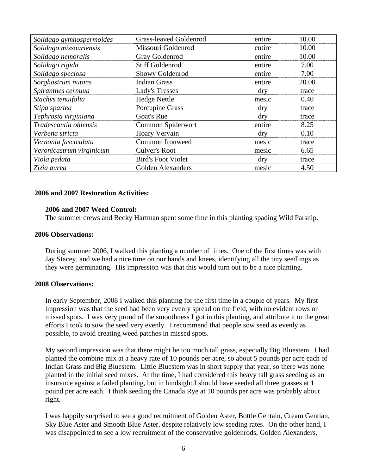| Solidago gymnospermoides | <b>Grass-leaved Goldenrod</b> | entire     | 10.00 |
|--------------------------|-------------------------------|------------|-------|
| Solidago missouriensis   | Missouri Goldenrod            | entire     | 10.00 |
| Solidago nemoralis       | Gray Goldenrod                | entire     | 10.00 |
| Solidago rigida          | <b>Stiff Goldenrod</b>        | entire     | 7.00  |
| Solidago speciosa        | Showy Goldenrod               | entire     | 7.00  |
| Sorghastrum nutans       | <b>Indian Grass</b>           | entire     | 20.00 |
| Spiranthes cernuua       | Lady's Tresses                | dry        | trace |
| Stachys tenuifolia       | <b>Hedge Nettle</b>           | mesic      | 0.40  |
| Stipa spartea            | Porcupine Grass               | $\rm{dry}$ | trace |
| Tephrosia virginiana     | Goat's Rue                    | dry        | trace |
| Tradescantia ohiensis    | Common Spiderwort             | entire     | 8.25  |
| Verbena stricta          | Hoary Vervain                 | dry        | 0.10  |
| Vernonia fasciculata     | Common Ironweed               | mesic      | trace |
| Veronicastrum virginicum | <b>Culver's Root</b>          | mesic      | 6.65  |
| Viola pedata             | <b>Bird's Foot Violet</b>     | $\rm{dry}$ | trace |
| Zizia aurea              | <b>Golden Alexanders</b>      | mesic      | 4.50  |

### **2006 and 2007 Restoration Activities:**

#### **2006 and 2007 Weed Control:**

The summer crews and Becky Hartman spent some time in this planting spading Wild Parsnip.

#### **2006 Observations:**

During summer 2006, I walked this planting a number of times. One of the first times was with Jay Stacey, and we had a nice time on our hands and knees, identifying all the tiny seedlings as they were germinating. His impression was that this would turn out to be a nice planting.

#### **2008 Observations:**

In early September, 2008 I walked this planting for the first time in a couple of years. My first impression was that the seed had been very evenly spread on the field, with no evident rows or missed spots. I was very proud of the smoothness I got in this planting, and attribute it to the great efforts I took to sow the seed very evenly. I recommend that people sow seed as evenly as possible, to avoid creating weed patches in missed spots.

My second impression was that there might be too much tall grass, especially Big Bluestem. I had planted the combine mix at a heavy rate of 10 pounds per acre, so about 5 pounds per acre each of Indian Grass and Big Bluestem. Little Bluestem was in short supply that year, so there was none planted in the initial seed mixes. At the time, I had considered this heavy tall grass seeding as an insurance against a failed planting, but in hindsight I should have seeded all three grasses at 1 pound per acre each. I think seeding the Canada Rye at 10 pounds per acre was probably about right.

I was happily surprised to see a good recruitment of Golden Aster, Bottle Gentain, Cream Gentian, Sky Blue Aster and Smooth Blue Aster, despite relatively low seeding rates. On the other hand, I was disappointed to see a low recruitment of the conservative goldenrods, Golden Alexanders,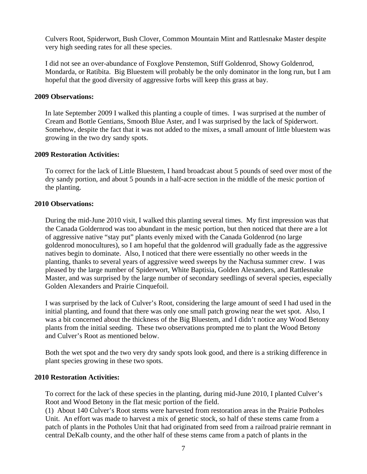Culvers Root, Spiderwort, Bush Clover, Common Mountain Mint and Rattlesnake Master despite very high seeding rates for all these species.

I did not see an over-abundance of Foxglove Penstemon, Stiff Goldenrod, Showy Goldenrod, Mondarda, or Ratibita. Big Bluestem will probably be the only dominator in the long run, but I am hopeful that the good diversity of aggressive forbs will keep this grass at bay.

### **2009 Observations:**

In late September 2009 I walked this planting a couple of times. I was surprised at the number of Cream and Bottle Gentians, Smooth Blue Aster, and I was surprised by the lack of Spiderwort. Somehow, despite the fact that it was not added to the mixes, a small amount of little bluestem was growing in the two dry sandy spots.

#### **2009 Restoration Activities:**

To correct for the lack of Little Bluestem, I hand broadcast about 5 pounds of seed over most of the dry sandy portion, and about 5 pounds in a half-acre section in the middle of the mesic portion of the planting.

### **2010 Observations:**

During the mid-June 2010 visit, I walked this planting several times. My first impression was that the Canada Goldernrod was too abundant in the mesic portion, but then noticed that there are a lot of aggressive native "stay put" plants evenly mixed with the Canada Goldenrod (no large goldenrod monocultures), so I am hopeful that the goldenrod will gradually fade as the aggressive natives begin to dominate. Also, I noticed that there were essentially no other weeds in the planting, thanks to several years of aggressive weed sweeps by the Nachusa summer crew. I was pleased by the large number of Spiderwort, White Baptisia, Golden Alexanders, and Rattlesnake Master, and was surprised by the large number of secondary seedlings of several species, especially Golden Alexanders and Prairie Cinquefoil.

I was surprised by the lack of Culver's Root, considering the large amount of seed I had used in the initial planting, and found that there was only one small patch growing near the wet spot. Also, I was a bit concerned about the thickness of the Big Bluestem, and I didn't notice any Wood Betony plants from the initial seeding. These two observations prompted me to plant the Wood Betony and Culver's Root as mentioned below.

Both the wet spot and the two very dry sandy spots look good, and there is a striking difference in plant species growing in these two spots.

#### **2010 Restoration Activities:**

To correct for the lack of these species in the planting, during mid-June 2010, I planted Culver's Root and Wood Betony in the flat mesic portion of the field.

(1) About 140 Culver's Root stems were harvested from restoration areas in the Prairie Potholes Unit. An effort was made to harvest a mix of genetic stock, so half of these stems came from a patch of plants in the Potholes Unit that had originated from seed from a railroad prairie remnant in central DeKalb county, and the other half of these stems came from a patch of plants in the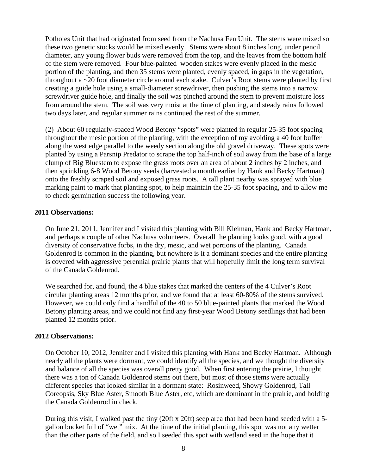Potholes Unit that had originated from seed from the Nachusa Fen Unit. The stems were mixed so these two genetic stocks would be mixed evenly. Stems were about 8 inches long, under pencil diameter, any young flower buds were removed from the top, and the leaves from the bottom half of the stem were removed. Four blue-painted wooden stakes were evenly placed in the mesic portion of the planting, and then 35 stems were planted, evenly spaced, in gaps in the vegetation, throughout a ~20 foot diameter circle around each stake. Culver's Root stems were planted by first creating a guide hole using a small-diameter screwdriver, then pushing the stems into a narrow screwdriver guide hole, and finally the soil was pinched around the stem to prevent moisture loss from around the stem. The soil was very moist at the time of planting, and steady rains followed two days later, and regular summer rains continued the rest of the summer.

(2) About 60 regularly-spaced Wood Betony "spots" were planted in regular 25-35 foot spacing throughout the mesic portion of the planting, with the exception of my avoiding a 40 foot buffer along the west edge parallel to the weedy section along the old gravel driveway. These spots were planted by using a Parsnip Predator to scrape the top half-inch of soil away from the base of a large clump of Big Bluestem to expose the grass roots over an area of about 2 inches by 2 inches, and then sprinkling 6-8 Wood Betony seeds (harvested a month earlier by Hank and Becky Hartman) onto the freshly scraped soil and exposed grass roots. A tall plant nearby was sprayed with blue marking paint to mark that planting spot, to help maintain the 25-35 foot spacing, and to allow me to check germination success the following year.

## **2011 Observations:**

On June 21, 2011, Jennifer and I visited this planting with Bill Kleiman, Hank and Becky Hartman, and perhaps a couple of other Nachusa volunteers. Overall the planting looks good, with a good diversity of conservative forbs, in the dry, mesic, and wet portions of the planting. Canada Goldenrod is common in the planting, but nowhere is it a dominant species and the entire planting is covered with aggressive perennial prairie plants that will hopefully limit the long term survival of the Canada Goldenrod.

We searched for, and found, the 4 blue stakes that marked the centers of the 4 Culver's Root circular planting areas 12 months prior, and we found that at least 60-80% of the stems survived. However, we could only find a handful of the 40 to 50 blue-painted plants that marked the Wood Betony planting areas, and we could not find any first-year Wood Betony seedlings that had been planted 12 months prior.

## **2012 Observations:**

On October 10, 2012, Jennifer and I visited this planting with Hank and Becky Hartman. Although nearly all the plants were dormant, we could identify all the species, and we thought the diversity and balance of all the species was overall pretty good. When first entering the prairie, I thought there was a ton of Canada Goldenrod stems out there, but most of those stems were actually different species that looked similar in a dormant state: Rosinweed, Showy Goldenrod, Tall Coreopsis, Sky Blue Aster, Smooth Blue Aster, etc, which are dominant in the prairie, and holding the Canada Goldenrod in check.

During this visit, I walked past the tiny (20ft x 20ft) seep area that had been hand seeded with a 5 gallon bucket full of "wet" mix. At the time of the initial planting, this spot was not any wetter than the other parts of the field, and so I seeded this spot with wetland seed in the hope that it